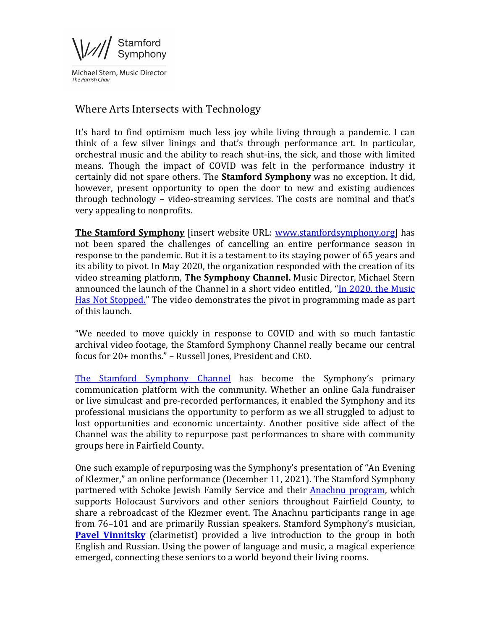$\sqrt{\frac{1}{\sqrt{1}}\int_{\text{Symbhony}}^{\text{Stamford}}}$ 

Michael Stern, Music Director The Parrish Chair

## Where Arts Intersects with Technology

It's hard to find optimism much less joy while living through a pandemic. I can think of a few silver linings and that's through performance art. In particular, orchestral music and the ability to reach shut-ins, the sick, and those with limited means. Though the impact of COVID was felt in the performance industry it certainly did not spare others. The **Stamford Symphony** was no exception. It did, however, present opportunity to open the door to new and existing audiences through technology – video-streaming services. The costs are nominal and that's very appealing to nonprofits.

**The Stamford Symphony** [insert website URL: www.stamfordsymphony.org] has not been spared the challenges of cancelling an entire performance season in response to the pandemic. But it is a testament to its staying power of 65 years and its ability to pivot. In May 2020, the organization responded with the creation of its video streaming platform, **The Symphony Channel**. Music Director, Michael Stern announced the launch of the Channel in a short video entitled, "In 2020, the Music Has Not Stopped." The video demonstrates the pivot in programming made as part of this launch.

"We needed to move quickly in response to COVID and with so much fantastic archival video footage, the Stamford Symphony Channel really became our central focus for 20+ months." - Russell Jones, President and CEO.

The Stamford Symphony Channel has become the Symphony's primary communication platform with the community. Whether an online Gala fundraiser or live simulcast and pre-recorded performances, it enabled the Symphony and its professional musicians the opportunity to perform as we all struggled to adjust to lost opportunities and economic uncertainty. Another positive side affect of the Channel was the ability to repurpose past performances to share with community groups here in Fairfield County.

One such example of repurposing was the Symphony's presentation of "An Evening" of Klezmer," an online performance (December 11, 2021). The Stamford Symphony partnered with Schoke Jewish Family Service and their Anachnu program, which supports Holocaust Survivors and other seniors throughout Fairfield County, to share a rebroadcast of the Klezmer event. The Anachnu participants range in age from 76–101 and are primarily Russian speakers. Stamford Symphony's musician, **Pavel Vinnitsky** (clarinetist) provided a live introduction to the group in both English and Russian. Using the power of language and music, a magical experience emerged, connecting these seniors to a world beyond their living rooms.